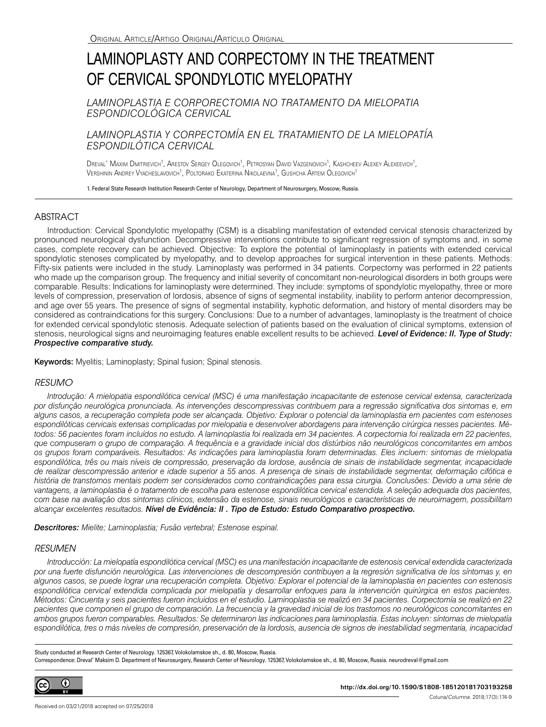# LAMINOPLASTY AND CORPECTOMY IN THE TREATMENT OF CERVICAL SPONDYLOTIC MYELOPATHY

*LAMINOPLASTIA E CORPORECTOMIA NO TRATAMENTO DA MIELOPATIA ESPONDICOLÓGICA CERVICAL*

## *LAMINOPLASTIA Y CORPECTOMÍA EN EL TRATAMIENTO DE LA MIELOPATÍA ESPONDILÓTICA CERVICAL*

Dreval' Maxim Dmitrievich<sup>1</sup>, Arestov Sergey Olegovich<sup>1</sup>, Petrosyan David Vazgenovich<sup>1</sup>, Kashcheev Alexey Alexeevich<sup>1</sup>, Vershinin Andrey Vyacheslavovich<sup>1</sup>, Poltorako Ekaterina Nikolaevna<sup>1</sup>, Gushcha Artem Olegovich<sup>1</sup>

1. Federal State Research Institution Research Center of Neurology, Department of Neurosurgery, Moscow, Russia.

## **ABSTRACT**

Introduction: Cervical Spondylotic myelopathy (CSM) is a disabling manifestation of extended cervical stenosis characterized by pronounced neurological dysfunction. Decompressive interventions contribute to significant regression of symptoms and, in some cases, complete recovery can be achieved. Objective: To explore the potential of laminoplasty in patients with extended cervical spondylotic stenoses complicated by myelopathy, and to develop approaches for surgical intervention in these patients. Methods: Fifty-six patients were included in the study. Laminoplasty was performed in 34 patients. Corpectomy was performed in 22 patients who made up the comparison group. The frequency and initial severity of concomitant non-neurological disorders in both groups were comparable. Results: Indications for laminoplasty were determined. They include: symptoms of spondylotic myelopathy, three or more levels of compression, preservation of lordosis, absence of signs of segmental instability, inability to perform anterior decompression, and age over 55 years. The presence of signs of segmental instability, kyphotic deformation, and history of mental disorders may be considered as contraindications for this surgery. Conclusions: Due to a number of advantages, laminoplasty is the treatment of choice for extended cervical spondylotic stenosis. Adequate selection of patients based on the evaluation of clinical symptoms, extension of stenosis, neurological signs and neuroimaging features enable excellent results to be achieved. *Level of Evidence: II. Type of Study: Prospective comparative study.*

Keywords: Myelitis; Laminoplasty; Spinal fusion; Spinal stenosis.

## *RESUMO*

*Introdução: A mielopatia espondilótica cervical (MSC) é uma manifestação incapacitante de estenose cervical extensa, caracterizada por disfunção neurológica pronunciada. As intervenções descompressivas contribuem para a regressão significativa dos sintomas e, em alguns casos, a recuperação completa pode ser alcançada. Objetivo: Explorar o potencial da laminoplastia em pacientes com estenoses espondilóticas cervicais extensas complicadas por mielopatia e desenvolver abordagens para intervenção cirúrgica nesses pacientes. Métodos: 56 pacientes foram incluídos no estudo. A laminoplastia foi realizada em 34 pacientes. A corpectomia foi realizada em 22 pacientes, que compuseram o grupo de comparação. A frequência e a gravidade inicial dos distúrbios não neurológicos concomitantes em ambos os grupos foram comparáveis. Resultados: As indicações para laminoplastia foram determinadas. Eles incluem: sintomas de mielopatia*  espondilótica, três ou mais níveis de compressão, preservação da lordose, ausência de sinais de instabilidade segmentar, incapacidade *de realizar descompressão anterior e idade superior a 55 anos. A presença de sinais de instabilidade segmentar, deformação cifótica e história de transtornos mentais podem ser considerados como contraindicações para essa cirurgia. Conclusões: Devido a uma série de*  vantagens, a laminoplastia é o tratamento de escolha para estenose espondilótica cervical estendida. A seleção adequada dos pacientes, *com base na avaliação dos sintomas clínicos, extensão da estenose, sinais neurológicos e características de neuroimagem, possibilitam alcançar excelentes resultados. Nível de Evidência: II . Tipo de Estudo: Estudo Comparativo prospectivo.*

*Descritores: Mielite; Laminoplastia; Fusão vertebral; Estenose espinal.*

#### *RESUMEN*

*Introducción: La mielopatía espondilótica cervical (MSC) es una manifestación incapacitante de estenosis cervical extendida caracterizada por una fuerte disfunción neurológica. Las intervenciones de descompresión contribuyen a la regresión significativa de los síntomas y, en algunos casos, se puede lograr una recuperación completa. Objetivo: Explorar el potencial de la laminoplastia en pacientes con estenosis espondilótica cervical extendida complicada por mielopatía y desarrollar enfoques para la intervención quirúrgica en estos pacientes. Métodos: Cincuenta y seis pacientes fueron incluidos en el estudio. Laminoplastia se realizó en 34 pacientes. Corpectomía se realizó en 22 pacientes que componen el grupo de comparación. La frecuencia y la gravedad inicial de los trastornos no neurológicos concomitantes en ambos grupos fueron comparables. Resultados: Se determinaron las indicaciones para laminoplastia. Estas incluyen: síntomas de mielopatía*  espondilótica, tres o más niveles de compresión, preservación de la lordosis, ausencia de signos de inestabilidad segmentaria, incapacidad

Study conducted at Research Center of Neurology. 125367, Volokolamskoe sh., d. 80, Moscow, Russia. Correspondence: Dreval' Maksim D. Department of Neurosurgery, Research Center of Neurology. 125367, Volokolamskoe sh., d. 80, Moscow, Russia. neurodreval@gmail.com



**http://dx.doi.org/10.1590/S1808-185120181703193258**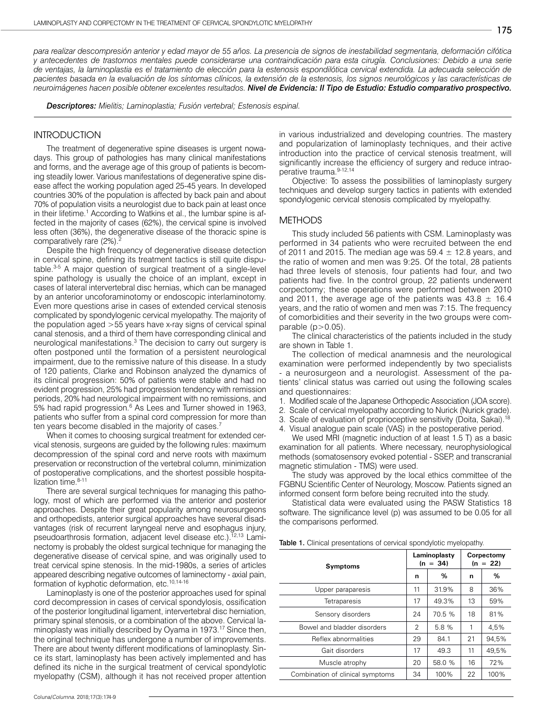*para realizar descompresión anterior y edad mayor de 55 años. La presencia de signos de inestabilidad segmentaria, deformación cifótica y antecedentes de trastornos mentales puede considerarse una contraindicación para esta cirugía. Conclusiones: Debido a una serie de ventajas, la laminoplastia es el tratamiento de elección para la estenosis espondilótica cervical extendida. La adecuada selección de pacientes basada en la evaluación de los síntomas clínicos, la extensión de la estenosis, los signos neurológicos y las características de neuroimágenes hacen posible obtener excelentes resultados. Nivel de Evidencia: II Tipo de Estudio: Estudio comparativo prospectivo.* 

*Descriptores: Mielitis; Laminoplastia; Fusión vertebral; Estenosis espinal.*

#### **INTRODUCTION**

The treatment of degenerative spine diseases is urgent nowadays. This group of pathologies has many clinical manifestations and forms, and the average age of this group of patients is becoming steadily lower. Various manifestations of degenerative spine disease affect the working population aged 25-45 years. In developed countries 30% of the population is affected by back pain and about 70% of population visits a neurologist due to back pain at least once in their lifetime.<sup>1</sup> According to Watkins et al., the lumbar spine is affected in the majority of cases (62%), the cervical spine is involved less often (36%), the degenerative disease of the thoracic spine is comparatively rare (2%).

Despite the high frequency of degenerative disease detection in cervical spine, defining its treatment tactics is still quite disputable.3-5 A major question of surgical treatment of a single-level spine pathology is usually the choice of an implant, except in cases of lateral intervertebral disc hernias, which can be managed by an anterior uncoforaminotomy or endoscopic interlaminotomy. Even more questions arise in cases of extended cervical stenosis complicated by spondylogenic cervical myelopathy. The majority of the population aged >55 years have x-ray signs of cervical spinal canal stenosis, and a third of them have corresponding clinical and neurological manifestations.<sup>3</sup> The decision to carry out surgery is often postponed until the formation of a persistent neurological impairment, due to the remissive nature of this disease. In a study of 120 patients, Clarke and Robinson analyzed the dynamics of its clinical progression: 50% of patients were stable and had no evident progression, 25% had progression tendency with remission periods, 20% had neurological impairment with no remissions, and 5% had rapid progression.<sup>6</sup> As Lees and Turner showed in 1963, patients who suffer from a spinal cord compression for more than ten years become disabled in the majority of cases.<sup>7</sup>

When it comes to choosing surgical treatment for extended cervical stenosis, surgeons are guided by the following rules: maximum decompression of the spinal cord and nerve roots with maximum preservation or reconstruction of the vertebral column, minimization of postoperative complications, and the shortest possible hospitalization time. $8-11$ 

There are several surgical techniques for managing this pathology, most of which are performed via the anterior and posterior approaches. Despite their great popularity among neurosurgeons and orthopedists, anterior surgical approaches have several disadvantages (risk of recurrent laryngeal nerve and esophagus injury, pseudoarthrosis formation, adjacent level disease etc.).<sup>12,13</sup> Laminectomy is probably the oldest surgical technique for managing the degenerative disease of cervical spine, and was originally used to treat cervical spine stenosis. In the mid-1980s, a series of articles appeared describing negative outcomes of laminectomy - axial pain, formation of kyphotic deformation, etc.10,14-16

Laminoplasty is one of the posterior approaches used for spinal cord decompression in cases of cervical spondylosis, ossification of the posterior longitudinal ligament, intervertebral disc herniation, primary spinal stenosis, or a combination of the above. Cervical laminoplasty was initially described by Oyama in 1973.<sup>17</sup> Since then, the original technique has undergone a number of improvements. There are about twenty different modifications of laminoplasty. Since its start, laminoplasty has been actively implemented and has defined its niche in the surgical treatment of cervical spondylotic myelopathy (CSM), although it has not received proper attention

Coluna/*Columna*. 2018;17(3):174-9

in various industrialized and developing countries. The mastery and popularization of laminoplasty techniques, and their active introduction into the practice of cervical stenosis treatment, will significantly increase the efficiency of surgery and reduce intraoperative trauma. 9-12,14

Objective: To assess the possibilities of laminoplasty surgery techniques and develop surgery tactics in patients with extended spondylogenic cervical stenosis complicated by myelopathy.

#### **METHODS**

This study included 56 patients with CSM. Laminoplasty was performed in 34 patients who were recruited between the end of 2011 and 2015. The median age was 59.4  $\pm$  12.8 years, and the ratio of women and men was 9:25. Of the total, 28 patients had three levels of stenosis, four patients had four, and two patients had five. In the control group, 22 patients underwent corpectomy; these operations were performed between 2010 and 2011, the average age of the patients was  $43.8 \pm 16.4$ years, and the ratio of women and men was 7:15. The frequency of comorbidities and their severity in the two groups were comparable  $(p>0.05)$ .

The clinical characteristics of the patients included in the study are shown in Table 1.

The collection of medical anamnesis and the neurological examination were performed independently by two specialists - a neurosurgeon and a neurologist. Assessment of the patients' clinical status was carried out using the following scales and questionnaires:

- 1. Modified scale of the Japanese Orthopedic Association (JOA score).
- 2. Scale of cervical myelopathy according to Nurick (Nurick grade).
- 3. Scale of evaluation of proprioceptive sensitivity (Doita, Sakai).<sup>18</sup>
- 4. Visual analogue pain scale (VAS) in the postoperative period.

We used MRI (magnetic induction of at least 1.5 T) as a basic examination for all patients. Where necessary, neurophysiological methods (somatosensory evoked potential - SSEP, and transcranial magnetic stimulation - TMS) were used.

The study was approved by the local ethics committee of the FGBNU Scientific Center of Neurology, Moscow. Patients signed an informed consent form before being recruited into the study.

Statistical data were evaluated using the PASW Statistics 18 software. The significance level (p) was assumed to be 0.05 for all the comparisons performed.

| <b>Table 1.</b> Clinical presentations of cervical spondylotic myelopathy. |  |  |  |  |
|----------------------------------------------------------------------------|--|--|--|--|
|----------------------------------------------------------------------------|--|--|--|--|

| <b>Symptoms</b>                  |    | Laminoplasty<br>$(n = 34)$ |    | Corpectomy<br>$(n = 22)$ |  |
|----------------------------------|----|----------------------------|----|--------------------------|--|
|                                  | n  | %                          | n  | %                        |  |
| Upper paraparesis                | 11 | 31.9%                      | 8  | 36%                      |  |
| <b>Tetraparesis</b>              | 17 | 49.3%                      | 13 | 59%                      |  |
| Sensory disorders                | 24 | 70.5%                      | 18 | 81%                      |  |
| Bowel and bladder disorders      | 2  | 5.8 %                      | 1  | 4,5%                     |  |
| Reflex abnormalities             | 29 | 84.1                       | 21 | 94.5%                    |  |
| Gait disorders                   | 17 | 49.3                       | 11 | 49,5%                    |  |
| Muscle atrophy                   | 20 | 58.0 %                     | 16 | 72%                      |  |
| Combination of clinical symptoms | 34 | 100%                       | 22 | 100%                     |  |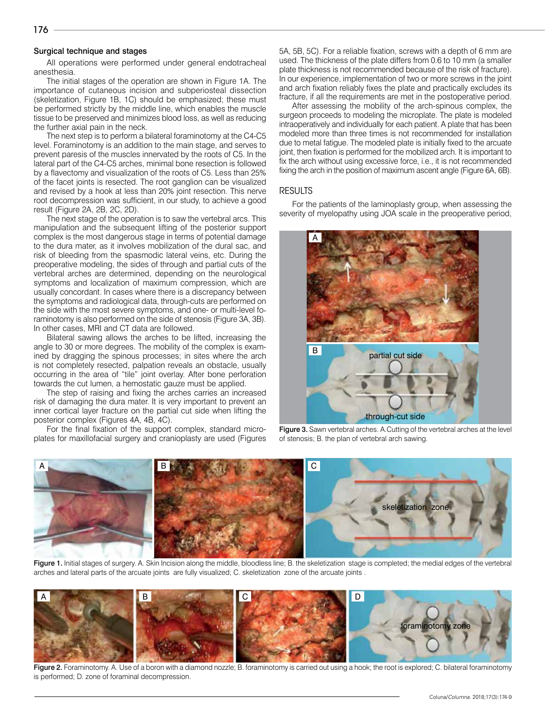#### Surgical technique and stages

All operations were performed under general endotracheal anesthesia.

The initial stages of the operation are shown in Figure 1A. The importance of cutaneous incision and subperiosteal dissection (skeletization, Figure 1B, 1C) should be emphasized; these must be performed strictly by the middle line, which enables the muscle tissue to be preserved and minimizes blood loss, as well as reducing the further axial pain in the neck.

The next step is to perform a bilateral foraminotomy at the C4-C5 level. Foraminotomy is an addition to the main stage, and serves to prevent paresis of the muscles innervated by the roots of C5. In the lateral part of the C4-C5 arches, minimal bone resection is followed by a flavectomy and visualization of the roots of C5. Less than 25% of the facet joints is resected. The root ganglion can be visualized and revised by a hook at less than 20% joint resection. This nerve root decompression was sufficient, in our study, to achieve a good result (Figure 2A, 2B, 2C, 2D).

The next stage of the operation is to saw the vertebral arcs. This manipulation and the subsequent lifting of the posterior support complex is the most dangerous stage in terms of potential damage to the dura mater, as it involves mobilization of the dural sac, and risk of bleeding from the spasmodic lateral veins, etc. During the preoperative modeling, the sides of through and partial cuts of the vertebral arches are determined, depending on the neurological symptoms and localization of maximum compression, which are usually concordant. In cases where there is a discrepancy between the symptoms and radiological data, through-cuts are performed on the side with the most severe symptoms, and one- or multi-level foraminotomy is also performed on the side of stenosis (Figure 3A, 3B). In other cases, MRI and CT data are followed.

Bilateral sawing allows the arches to be lifted, increasing the angle to 30 or more degrees. The mobility of the complex is examined by dragging the spinous processes; in sites where the arch is not completely resected, palpation reveals an obstacle, usually occurring in the area of "tile" joint overlay. After bone perforation towards the cut lumen, a hemostatic gauze must be applied.

The step of raising and fixing the arches carries an increased risk of damaging the dura mater. It is very important to prevent an inner cortical layer fracture on the partial cut side when lifting the posterior complex (Figures 4A, 4B, 4C).

For the final fixation of the support complex, standard microplates for maxillofacial surgery and cranioplasty are used (Figures 5A, 5B, 5C). For a reliable fixation, screws with a depth of 6 mm are used. The thickness of the plate differs from 0.6 to 10 mm (a smaller plate thickness is not recommended because of the risk of fracture). In our experience, implementation of two or more screws in the joint and arch fixation reliably fixes the plate and practically excludes its fracture, if all the requirements are met in the postoperative period.

After assessing the mobility of the arch-spinous complex, the surgeon proceeds to modeling the microplate. The plate is modeled intraoperatively and individually for each patient. A plate that has been modeled more than three times is not recommended for installation due to metal fatigue. The modeled plate is initially fixed to the arcuate joint, then fixation is performed for the mobilized arch. It is important to fix the arch without using excessive force, i.e., it is not recommended fixing the arch in the position of maximum ascent angle (Figure 6A, 6B).

#### RESULTS

For the patients of the laminoplasty group, when assessing the severity of myelopathy using JOA scale in the preoperative period,







Figure 1. Initial stages of surgery. A. Skin Incision along the middle, bloodless line; B. the skeletization stage is completed; the medial edges of the vertebral arches and lateral parts of the arcuate joints are fully visualized; C. skeletization zone of the arcuate joints .



Figure 2. Foraminotomy. A. Use of a boron with a diamond nozzle; B. foraminotomy is carried out using a hook; the root is explored; C. bilateral foraminotomy is performed; D. zone of foraminal decompression.

176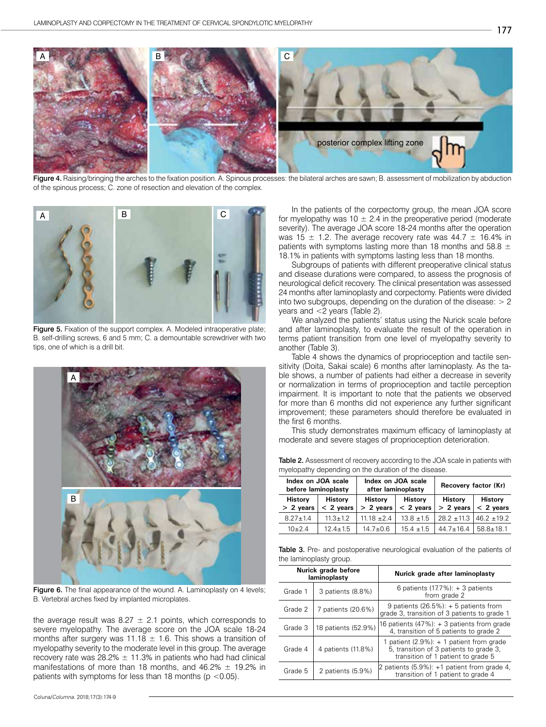

Figure 4. Raising/bringing the arches to the fixation position. A. Spinous processes: the bilateral arches are sawn; B. assessment of mobilization by abduction of the spinous process; C. zone of resection and elevation of the complex.



Figure 5. Fixation of the support complex. A. Modeled intraoperative plate; B. self-drilling screws, 6 and 5 mm; C. a demountable screwdriver with two tips, one of which is a drill bit.



Figure 6. The final appearance of the wound. A. Laminoplasty on 4 levels; B. Vertebral arches fixed by implanted microplates.

the average result was  $8.27 \pm 2.1$  points, which corresponds to severe myelopathy. The average score on the JOA scale 18-24 months after surgery was 11.18  $\pm$  1.6. This shows a transition of myelopathy severity to the moderate level in this group. The average recovery rate was  $28.2\% \pm 11.3\%$  in patients who had had clinical manifestations of more than 18 months, and 46.2%  $\pm$  19.2% in patients with symptoms for less than 18 months ( $p < 0.05$ ).

In the patients of the corpectomy group, the mean JOA score for myelopathy was 10  $\pm$  2.4 in the preoperative period (moderate severity). The average JOA score 18-24 months after the operation was 15  $\pm$  1.2. The average recovery rate was 44.7  $\pm$  16.4% in patients with symptoms lasting more than 18 months and 58.8  $\pm$ 18.1% in patients with symptoms lasting less than 18 months.

Subgroups of patients with different preoperative clinical status and disease durations were compared, to assess the prognosis of neurological deficit recovery. The clinical presentation was assessed 24 months after laminoplasty and corpectomy. Patients were divided into two subgroups, depending on the duration of the disease:  $> 2$ years and <2 years (Table 2).

We analyzed the patients' status using the Nurick scale before and after laminoplasty, to evaluate the result of the operation in terms patient transition from one level of myelopathy severity to another (Table 3).

Table 4 shows the dynamics of proprioception and tactile sensitivity (Doita, Sakai scale) 6 months after laminoplasty. As the table shows, a number of patients had either a decrease in severity or normalization in terms of proprioception and tactile perception impairment. It is important to note that the patients we observed for more than 6 months did not experience any further significant improvement; these parameters should therefore be evaluated in the first 6 months.

This study demonstrates maximum efficacy of laminoplasty at moderate and severe stages of proprioception deterioration.

| <b>Table 2.</b> Assessment of recovery according to the JOA scale in patients with |  |  |
|------------------------------------------------------------------------------------|--|--|
| myelopathy depending on the duration of the disease.                               |  |  |

| Index on JOA scale<br>before laminoplasty |                               | Index on JOA scale<br>after laminoplasty |                               | Recovery factor (Kr)          |                               |
|-------------------------------------------|-------------------------------|------------------------------------------|-------------------------------|-------------------------------|-------------------------------|
| <b>History</b><br>$> 2$ years             | <b>History</b><br>$< 2$ years | <b>History</b><br>$> 2$ years            | <b>History</b><br>$< 2$ years | <b>History</b><br>$> 2$ years | <b>History</b><br>$< 2$ years |
| $827+14$                                  | $11.3 + 1.2$                  | $11.18 + 2.4$                            | $13.8 \pm 1.5$                | $282 + 113$                   | $146.2 + 19.2$                |
| $10+24$                                   | $12.4 \pm 1.5$                | $14.7 + 0.6$                             | $15.4 \pm 1.5$                | $44.7 \pm 16.4$               | $58.8 + 18.1$                 |

Table 3. Pre- and postoperative neurological evaluation of the patients of the laminoplasty group.

| Nurick grade before<br>laminoplasty |                     | Nurick grade after laminoplasty                                                                                               |
|-------------------------------------|---------------------|-------------------------------------------------------------------------------------------------------------------------------|
| Grade 1                             | 3 patients (8.8%)   | 6 patients $(17.7\%)$ : + 3 patients<br>from grade 2                                                                          |
| Grade 2                             | 7 patients (20.6%)  | 9 patients $(26.5\%): + 5$ patients from<br>grade 3, transition of 3 patients to grade 1                                      |
| Grade 3                             | 18 patients (52.9%) | 16 patients $(47\%)$ : + 3 patients from grade<br>4, transition of 5 patients to grade 2                                      |
| Grade 4                             | 4 patients (11.8%)  | 1 patient $(2.9\%)$ : + 1 patient from grade<br>5, transition of 3 patients to grade 3,<br>transition of 1 patient to grade 5 |
| Grade 5                             | 2 patients (5.9%)   | 2 patients (5.9%): +1 patient from grade 4,<br>transition of 1 patient to grade 4                                             |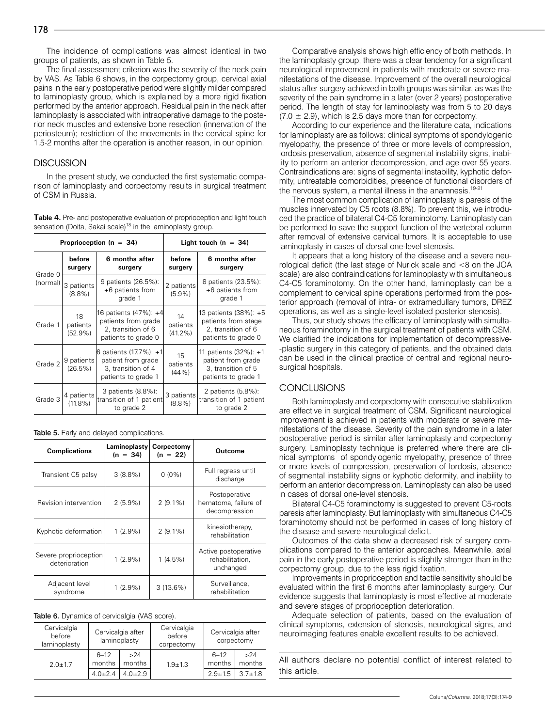The incidence of complications was almost identical in two groups of patients, as shown in Table 5.

The final assessment criterion was the severity of the neck pain by VAS. As Table 6 shows, in the corpectomy group, cervical axial pains in the early postoperative period were slightly milder compared to laminoplasty group, which is explained by a more rigid fixation performed by the anterior approach. Residual pain in the neck after laminoplasty is associated with intraoperative damage to the posterior neck muscles and extensive bone resection (innervation of the periosteum); restriction of the movements in the cervical spine for 1.5-2 months after the operation is another reason, in our opinion.

#### **DISCUSSION**

In the present study, we conducted the first systematic comparison of laminoplasty and corpectomy results in surgical treatment of CSM in Russia.

**Table 4.** Pre- and postoperative evaluation of proprioception and light touch sensation (Doita, Sakai scale)<sup>18</sup> in the laminoplasty group.

| Proprioception ( $n = 34$ ) |                           | Light touch ( $n = 34$ )                                                                   |                              |                                                                                           |
|-----------------------------|---------------------------|--------------------------------------------------------------------------------------------|------------------------------|-------------------------------------------------------------------------------------------|
|                             | before<br>surgery         | 6 months after<br>surgery                                                                  | before<br>surgery            | 6 months after<br>surgery                                                                 |
| Grade 0<br>(normal)         | 3 patients<br>$(8.8\%)$   | 9 patients (26.5%):<br>+6 patients from<br>grade 1                                         | 2 patients<br>$(5.9\%)$      | 8 patients (23.5%):<br>+6 patients from<br>grade 1                                        |
| Grade 1                     | 18<br>patients<br>(52.9%) | 16 patients (47%): +4 <br>patients from grade<br>2, transition of 6<br>patients to grade 0 | 14<br>patients<br>$(41.2\%)$ | 13 patients (38%): +5<br>patients from stage<br>2, transition of 6<br>patients to grade 0 |
| Grade 2                     | 9 patients<br>$(26.5\%)$  | 6 patients (17.7%): +1 <br>patient from grade<br>3, transition of 4<br>patients to grade 1 | 15<br>patients<br>(44%       | 11 patients (32%): +1<br>patient from grade<br>3, transition of 5<br>patients to grade 1  |
| Grade 3                     | 4 patients<br>$(11.8\%)$  | 3 patients (8.8%):<br>transition of 1 patient<br>to grade 2                                | 3 patients<br>$(8.8\%)$      | 2 patients (5.8%):<br>transition of 1 patient<br>to grade 2                               |

Table 5. Early and delayed complications.

| <b>Complications</b>                   | Laminoplasty<br>$(n = 34)$ | Corpectomy<br>$(n = 22)$ | Outcome                                                |
|----------------------------------------|----------------------------|--------------------------|--------------------------------------------------------|
| Transient C5 palsy                     | $3(8.8\%)$                 | $0(0\%)$                 | Full regress until<br>discharge                        |
| Revision intervention                  | $2(5.9\%)$                 | $2(9.1\%)$               | Postoperative<br>hematoma, failure of<br>decompression |
| Kyphotic deformation                   | $1(2.9\%)$                 | $2(9.1\%)$               | kinesiotherapy,<br>rehabilitation                      |
| Severe proprioception<br>deterioration | $1(2.9\%)$                 | $1(4.5\%)$               | Active postoperative<br>rehabilitation,<br>unchanged   |
| Adjacent level<br>syndrome             | $1(2.9\%)$                 | $3(13.6\%)$              | Surveillance,<br>rehabilitation                        |

|  |  | Table 6. Dynamics of cervicalgia (VAS score). |  |
|--|--|-----------------------------------------------|--|
|--|--|-----------------------------------------------|--|

| Cervicalgia<br>before<br>laminoplasty | Cervicalgia after<br>laminoplasty |               | Cervicalgia<br>before<br>corpectomy | Cervicalgia after<br>corpectomy |               |
|---------------------------------------|-----------------------------------|---------------|-------------------------------------|---------------------------------|---------------|
| $2.0 + 1.7$                           | $6 - 12$<br>months                | >24<br>months | $1.9 + 1.3$                         | $6 - 12$<br>months              | >24<br>months |
|                                       | $4.0 + 2.4$                       | $4.0 + 2.9$   |                                     | $2.9 + 1.5$                     | $3.7 + 1.8$   |

Comparative analysis shows high efficiency of both methods. In the laminoplasty group, there was a clear tendency for a significant neurological improvement in patients with moderate or severe manifestations of the disease. Improvement of the overall neurological status after surgery achieved in both groups was similar, as was the severity of the pain syndrome in a later (over 2 years) postoperative period. The length of stay for laminoplasty was from 5 to 20 days  $(7.0 \pm 2.9)$ , which is 2.5 days more than for corpectomy.

According to our experience and the literature data, indications for laminoplasty are as follows: clinical symptoms of spondylogenic myelopathy, the presence of three or more levels of compression, lordosis preservation, absence of segmental instability signs, inability to perform an anterior decompression, and age over 55 years. Contraindications are: signs of segmental instability, kyphotic deformity, untreatable comorbidities, presence of functional disorders of the nervous system, a mental illness in the anamnesis.<sup>19-21</sup>

The most common complication of laminoplasty is paresis of the muscles innervated by C5 roots (8.8%). To prevent this, we introduced the practice of bilateral C4-C5 foraminotomy. Laminoplasty can be performed to save the support function of the vertebral column after removal of extensive cervical tumors. It is acceptable to use laminoplasty in cases of dorsal one-level stenosis.

It appears that a long history of the disease and a severe neurological deficit (the last stage of Nurick scale and <8 on the JOA scale) are also contraindications for laminoplasty with simultaneous C4-C5 foraminotomy. On the other hand, laminoplasty can be a complement to cervical spine operations performed from the posterior approach (removal of intra- or extramedullary tumors, DREZ operations, as well as a single-level isolated posterior stenosis).

Thus, our study shows the efficacy of laminoplasty with simultaneous foraminotomy in the surgical treatment of patients with CSM. We clarified the indications for implementation of decompressive- -plastic surgery in this category of patients, and the obtained data can be used in the clinical practice of central and regional neurosurgical hospitals.

### **CONCLUSIONS**

Both laminoplasty and corpectomy with consecutive stabilization are effective in surgical treatment of CSM. Significant neurological improvement is achieved in patients with moderate or severe manifestations of the disease. Severity of the pain syndrome in a later postoperative period is similar after laminoplasty and corpectomy surgery. Laminoplasty technique is preferred where there are clinical symptoms of spondylogenic myelopathy, presence of three or more levels of compression, preservation of lordosis, absence of segmental instability signs or kyphotic deformity, and inability to perform an anterior decompression. Laminoplasty can also be used in cases of dorsal one-level stenosis.

Bilateral C4-C5 foraminotomy is suggested to prevent C5-roots paresis after laminoplasty. But laminoplasty with simultaneous C4-C5 foraminotomy should not be performed in cases of long history of the disease and severe neurological deficit.

Outcomes of the data show a decreased risk of surgery complications compared to the anterior approaches. Meanwhile, axial pain in the early postoperative period is slightly stronger than in the corpectomy group, due to the less rigid fixation.

Improvements in proprioception and tactile sensitivity should be evaluated within the first 6 months after laminoplasty surgery. Our evidence suggests that laminoplasty is most effective at moderate and severe stages of proprioception deterioration.

Adequate selection of patients, based on the evaluation of clinical symptoms, extension of stenosis, neurological signs, and neuroimaging features enable excellent results to be achieved.

All authors declare no potential conflict of interest related to this article.